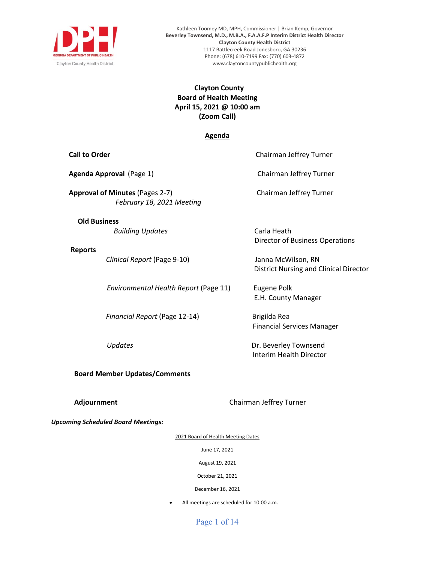

Kathleen Toomey MD, MPH, Commissioner | Brian Kemp, Governor **Beverley Townsend, M.D., M.B.A., F.A.A.F.P Interim District Health Director Clayton County Health District** 1117 Battlecreek Road Jonesboro, GA 30236 Phone: (678) 610-7199 Fax: (770) 603-4872 www.claytoncountypublichealth.org

### **Clayton County Board of Health Meeting April 15, 2021 @ 10:00 am (Zoom Call)**

#### **Agenda**

**Call to Order** Chairman Jeffrey Turner

| Agenda Approval (Page 1)                                            | Chairman Jeffrey Turner                                      |
|---------------------------------------------------------------------|--------------------------------------------------------------|
| <b>Approval of Minutes (Pages 2-7)</b><br>February 18, 2021 Meeting | Chairman Jeffrey Turner                                      |
| <b>Old Business</b><br><b>Building Updates</b>                      | Carla Heath<br>Director of Business Operations               |
| <b>Reports</b><br>Clinical Report (Page 9-10)                       | Janna McWilson, RN<br>District Nursing and Clinical Director |
| Environmental Health Report (Page 11)                               | Eugene Polk<br>E.H. County Manager                           |
| Financial Report (Page 12-14)                                       | Brigilda Rea<br><b>Financial Services Manager</b>            |
| <i><b>Updates</b></i>                                               | Dr. Beverley Townsend<br>Interim Health Director             |

#### **Board Member Updates/Comments**

**Adjournment Adjournment Chairman Jeffrey Turner** 

*Upcoming Scheduled Board Meetings:* 

2021 Board of Health Meeting Dates

June 17, 2021

August 19, 2021

October 21, 2021

December 16, 2021

• All meetings are scheduled for 10:00 a.m.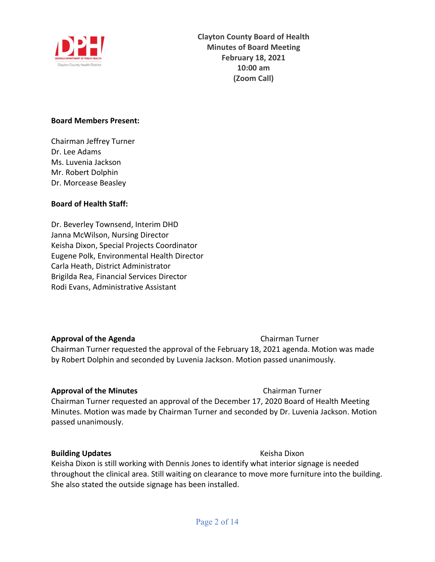

#### **Board Members Present:**

Chairman Jeffrey Turner Dr. Lee Adams Ms. Luvenia Jackson Mr. Robert Dolphin Dr. Morcease Beasley

### **Board of Health Staff:**

Dr. Beverley Townsend, Interim DHD Janna McWilson, Nursing Director Keisha Dixon, Special Projects Coordinator Eugene Polk, Environmental Health Director Carla Heath, District Administrator Brigilda Rea, Financial Services Director Rodi Evans, Administrative Assistant

**Approval of the Agenda Chairman Turner** Chairman Turner requested the approval of the February 18, 2021 agenda. Motion was made by Robert Dolphin and seconded by Luvenia Jackson. Motion passed unanimously.

#### **Approval of the Minutes Chairman Turner**

Chairman Turner requested an approval of the December 17, 2020 Board of Health Meeting Minutes. Motion was made by Chairman Turner and seconded by Dr. Luvenia Jackson. Motion passed unanimously.

### **Building Updates Building Updates Keisha Dixon**

Keisha Dixon is still working with Dennis Jones to identify what interior signage is needed throughout the clinical area. Still waiting on clearance to move more furniture into the building. She also stated the outside signage has been installed.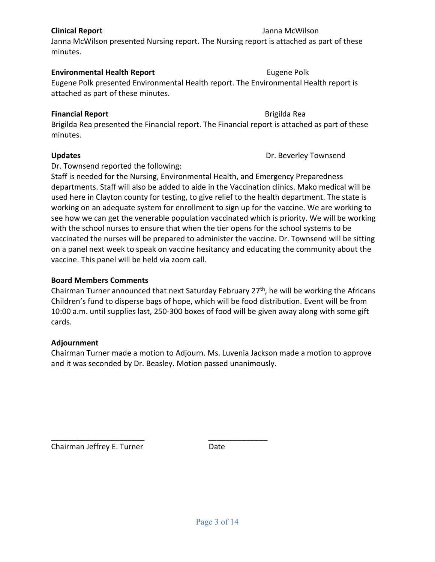# Staff is needed for the Nursing, Environmental Health, and Emergency Preparedness

Brigilda Rea presented the Financial report. The Financial report is attached as part of these

Updates **Updates Dr. Beverley Townsend** 

**Environmental Health Report Eugene Polk** 

departments. Staff will also be added to aide in the Vaccination clinics. Mako medical will be used here in Clayton county for testing, to give relief to the health department. The state is working on an adequate system for enrollment to sign up for the vaccine. We are working to see how we can get the venerable population vaccinated which is priority. We will be working with the school nurses to ensure that when the tier opens for the school systems to be vaccinated the nurses will be prepared to administer the vaccine. Dr. Townsend will be sitting on a panel next week to speak on vaccine hesitancy and educating the community about the vaccine. This panel will be held via zoom call.

### **Board Members Comments**

Chairman Turner announced that next Saturday February 27<sup>th</sup>, he will be working the Africans Children's fund to disperse bags of hope, which will be food distribution. Event will be from 10:00 a.m. until supplies last, 250-300 boxes of food will be given away along with some gift cards.

#### **Adjournment**

Chairman Turner made a motion to Adjourn. Ms. Luvenia Jackson made a motion to approve and it was seconded by Dr. Beasley. Motion passed unanimously.

Chairman Jeffrey E. Turner **Date** 

\_\_\_\_\_\_\_\_\_\_\_\_\_\_\_\_\_\_\_\_\_\_ \_\_\_\_\_\_\_\_\_\_\_\_\_\_

Page 3 of 14

### **Clinical Report** Janna McWilson Janna McWilson presented Nursing report. The Nursing report is attached as part of these

Eugene Polk presented Environmental Health report. The Environmental Health report is

attached as part of these minutes.

Dr. Townsend reported the following:

minutes.

minutes.

**Financial Report 1988 Financial Report** 1988 **Brigilda Rea**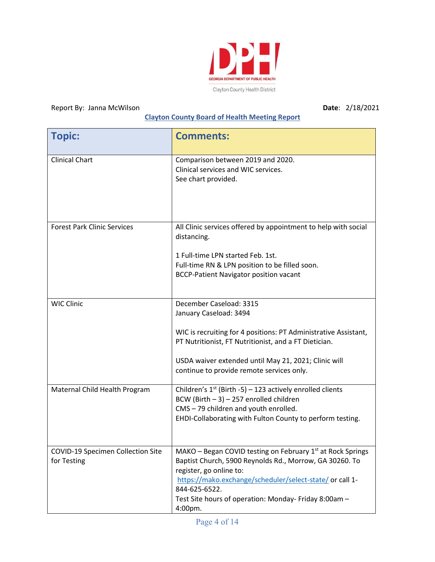

## Report By: Janna McWilson **Date**: 2/18/2021

## **Clayton County Board of Health Meeting Report**

| <b>Topic:</b>                                    | <b>Comments:</b>                                                                                                                                                                                                                                                                                              |
|--------------------------------------------------|---------------------------------------------------------------------------------------------------------------------------------------------------------------------------------------------------------------------------------------------------------------------------------------------------------------|
| <b>Clinical Chart</b>                            | Comparison between 2019 and 2020.<br>Clinical services and WIC services.<br>See chart provided.                                                                                                                                                                                                               |
| <b>Forest Park Clinic Services</b>               | All Clinic services offered by appointment to help with social<br>distancing.<br>1 Full-time LPN started Feb. 1st.<br>Full-time RN & LPN position to be filled soon.<br><b>BCCP-Patient Navigator position vacant</b>                                                                                         |
| <b>WIC Clinic</b>                                | December Caseload: 3315<br>January Caseload: 3494<br>WIC is recruiting for 4 positions: PT Administrative Assistant,<br>PT Nutritionist, FT Nutritionist, and a FT Dietician.<br>USDA waiver extended until May 21, 2021; Clinic will<br>continue to provide remote services only.                            |
| Maternal Child Health Program                    | Children's $1^{st}$ (Birth -5) – 123 actively enrolled clients<br>BCW (Birth $-3$ ) $-257$ enrolled children<br>CMS - 79 children and youth enrolled.<br>EHDI-Collaborating with Fulton County to perform testing.                                                                                            |
| COVID-19 Specimen Collection Site<br>for Testing | MAKO - Began COVID testing on February 1 <sup>st</sup> at Rock Springs<br>Baptist Church, 5900 Reynolds Rd., Morrow, GA 30260. To<br>register, go online to:<br>https://mako.exchange/scheduler/select-state/ or call 1-<br>844-625-6522.<br>Test Site hours of operation: Monday- Friday 8:00am -<br>4:00pm. |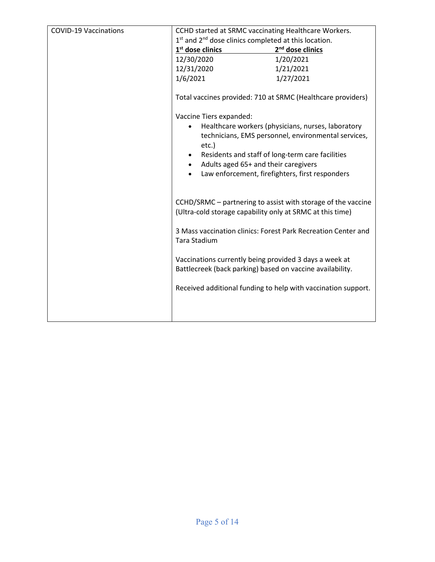| <b>COVID-19 Vaccinations</b> | CCHD started at SRMC vaccinating Healthcare Workers.                                                                |                                                                                                           |  |  |  |  |
|------------------------------|---------------------------------------------------------------------------------------------------------------------|-----------------------------------------------------------------------------------------------------------|--|--|--|--|
|                              | $1st$ and $2nd$ dose clinics completed at this location.                                                            |                                                                                                           |  |  |  |  |
|                              | 1 <sup>st</sup> dose clinics                                                                                        | 2 <sup>nd</sup> dose clinics                                                                              |  |  |  |  |
|                              | 12/30/2020                                                                                                          | 1/20/2021                                                                                                 |  |  |  |  |
|                              | 12/31/2020                                                                                                          | 1/21/2021                                                                                                 |  |  |  |  |
|                              | 1/6/2021                                                                                                            | 1/27/2021                                                                                                 |  |  |  |  |
|                              |                                                                                                                     | Total vaccines provided: 710 at SRMC (Healthcare providers)                                               |  |  |  |  |
|                              | Vaccine Tiers expanded:                                                                                             |                                                                                                           |  |  |  |  |
|                              | $etc.$ )                                                                                                            | Healthcare workers (physicians, nurses, laboratory<br>technicians, EMS personnel, environmental services, |  |  |  |  |
|                              |                                                                                                                     | Residents and staff of long-term care facilities                                                          |  |  |  |  |
|                              | Adults aged 65+ and their caregivers                                                                                |                                                                                                           |  |  |  |  |
|                              |                                                                                                                     | Law enforcement, firefighters, first responders                                                           |  |  |  |  |
|                              | (Ultra-cold storage capability only at SRMC at this time)                                                           | CCHD/SRMC – partnering to assist with storage of the vaccine                                              |  |  |  |  |
|                              | Tara Stadium                                                                                                        | 3 Mass vaccination clinics: Forest Park Recreation Center and                                             |  |  |  |  |
|                              | Vaccinations currently being provided 3 days a week at<br>Battlecreek (back parking) based on vaccine availability. |                                                                                                           |  |  |  |  |
|                              |                                                                                                                     | Received additional funding to help with vaccination support.                                             |  |  |  |  |
|                              |                                                                                                                     |                                                                                                           |  |  |  |  |
|                              |                                                                                                                     |                                                                                                           |  |  |  |  |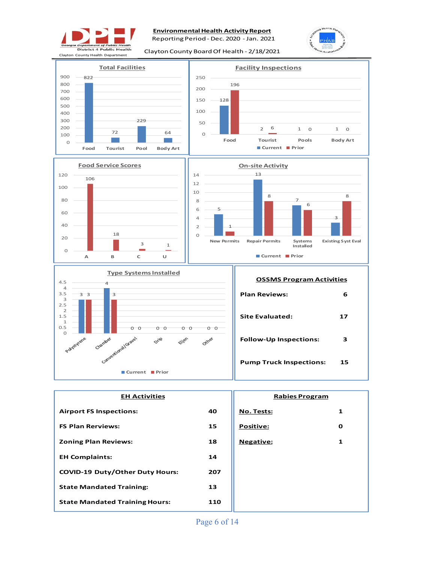

**Environmental Health Activity Report** 

Reporting Period - Dec. 2020 -Jan. 2021





| <b>EH Activities</b>                   | <b>Rabies Program</b> |                  |             |  |
|----------------------------------------|-----------------------|------------------|-------------|--|
| <b>Airport FS Inspections:</b>         | 40                    | No. Tests:       | 1           |  |
| <b>FS Plan Rerviews:</b>               | 15                    | <b>Positive:</b> | $\mathbf o$ |  |
| <b>Zoning Plan Reviews:</b>            | 18                    | <b>Negative:</b> | 1           |  |
| <b>EH Complaints:</b>                  | 14                    |                  |             |  |
| <b>COVID-19 Duty/Other Duty Hours:</b> | 207                   |                  |             |  |
| <b>State Mandated Training:</b>        | 13                    |                  |             |  |
| <b>State Mandated Training Hours:</b>  | 110                   |                  |             |  |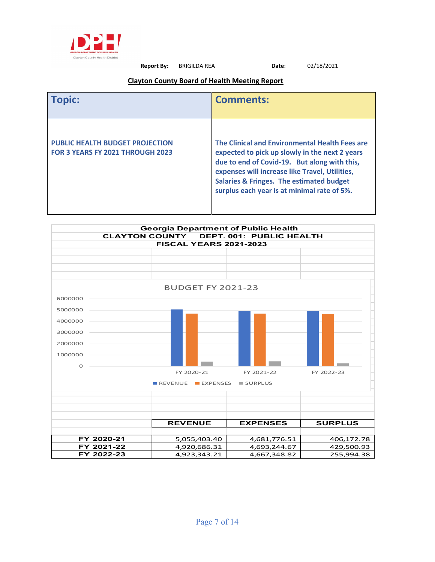

**Report By:** BRIGILDA REA **Date**: 02/18/2021

#### **Clayton County Board of Health Meeting Report**

|                                                                                   | <b>Comments:</b>                                                                                                                                                                                                                                                                                         |
|-----------------------------------------------------------------------------------|----------------------------------------------------------------------------------------------------------------------------------------------------------------------------------------------------------------------------------------------------------------------------------------------------------|
| <b>PUBLIC HEALTH BUDGET PROJECTION</b><br><b>FOR 3 YEARS FY 2021 THROUGH 2023</b> | The Clinical and Environmental Health Fees are<br>expected to pick up slowly in the next 2 years<br>due to end of Covid-19. But along with this,<br>expenses will increase like Travel, Utilities,<br><b>Salaries &amp; Fringes. The estimated budget</b><br>surplus each year is at minimal rate of 5%. |

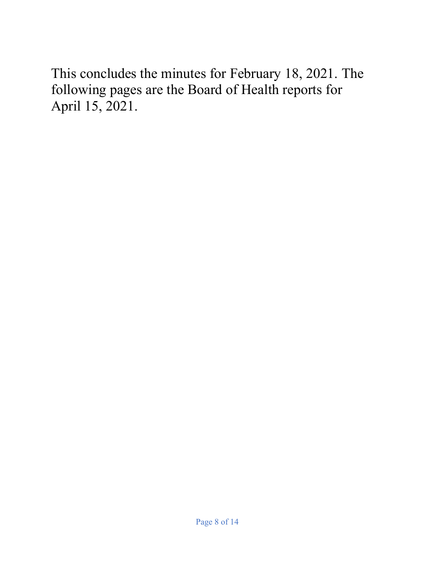This concludes the minutes for February 18, 2021. The following pages are the Board of Health reports for April 15, 2021.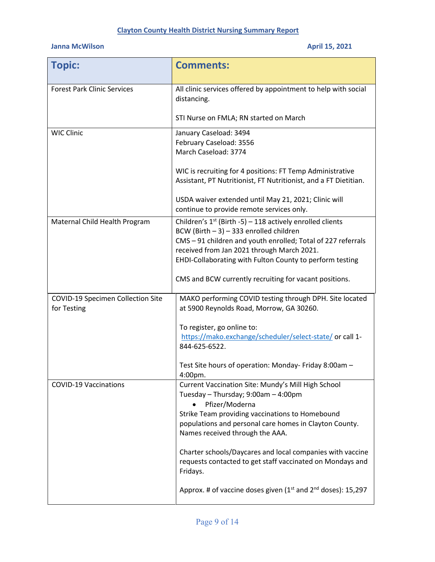## **Clayton County Health District Nursing Summary Report**

## **Janna McWilson April 15, 2021**

| <b>Topic:</b>                                    | <b>Comments:</b>                                                                                                                                                                                                                                                                                                                                 |
|--------------------------------------------------|--------------------------------------------------------------------------------------------------------------------------------------------------------------------------------------------------------------------------------------------------------------------------------------------------------------------------------------------------|
| <b>Forest Park Clinic Services</b>               | All clinic services offered by appointment to help with social<br>distancing.                                                                                                                                                                                                                                                                    |
|                                                  | STI Nurse on FMLA; RN started on March                                                                                                                                                                                                                                                                                                           |
| <b>WIC Clinic</b>                                | January Caseload: 3494<br>February Caseload: 3556<br>March Caseload: 3774                                                                                                                                                                                                                                                                        |
|                                                  | WIC is recruiting for 4 positions: FT Temp Administrative<br>Assistant, PT Nutritionist, FT Nutritionist, and a FT Dietitian.                                                                                                                                                                                                                    |
|                                                  | USDA waiver extended until May 21, 2021; Clinic will<br>continue to provide remote services only.                                                                                                                                                                                                                                                |
| Maternal Child Health Program                    | Children's $1^{st}$ (Birth -5) – 118 actively enrolled clients<br>BCW (Birth $-3$ ) $-333$ enrolled children<br>CMS - 91 children and youth enrolled; Total of 227 referrals<br>received from Jan 2021 through March 2021.<br>EHDI-Collaborating with Fulton County to perform testing<br>CMS and BCW currently recruiting for vacant positions. |
| COVID-19 Specimen Collection Site<br>for Testing | MAKO performing COVID testing through DPH. Site located<br>at 5900 Reynolds Road, Morrow, GA 30260.                                                                                                                                                                                                                                              |
|                                                  | To register, go online to:<br>https://mako.exchange/scheduler/select-state/ or call 1-<br>844-625-6522.                                                                                                                                                                                                                                          |
|                                                  | Test Site hours of operation: Monday- Friday 8:00am -<br>4:00pm.                                                                                                                                                                                                                                                                                 |
| <b>COVID-19 Vaccinations</b>                     | Current Vaccination Site: Mundy's Mill High School<br>Tuesday - Thursday; 9:00am - 4:00pm<br>Pfizer/Moderna<br>Strike Team providing vaccinations to Homebound<br>populations and personal care homes in Clayton County.<br>Names received through the AAA.                                                                                      |
|                                                  | Charter schools/Daycares and local companies with vaccine<br>requests contacted to get staff vaccinated on Mondays and<br>Fridays.                                                                                                                                                                                                               |
|                                                  | Approx. # of vaccine doses given $(1^{st}$ and $2^{nd}$ doses): 15,297                                                                                                                                                                                                                                                                           |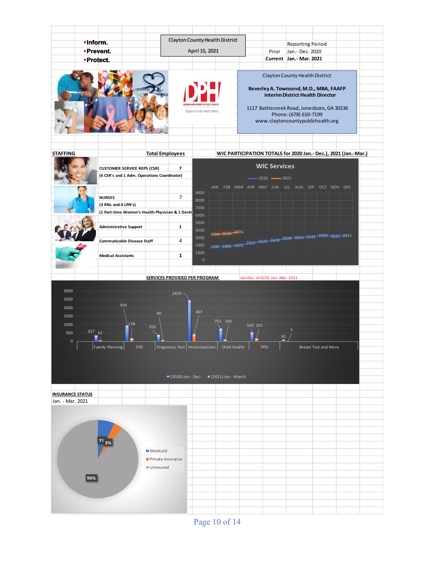

Page 10 of 14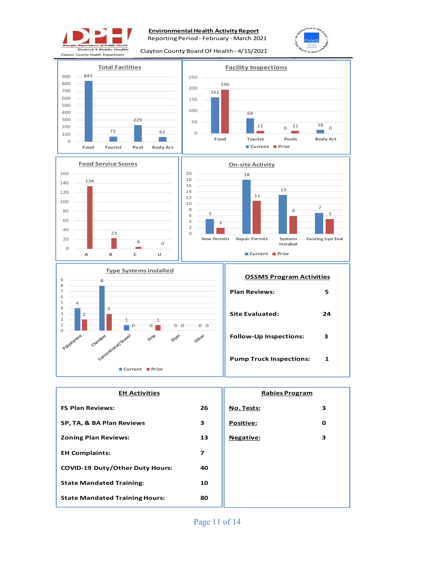

#### **Environmental Health Activity Report**

Reporting Period - February - March 2021

Clayton County Board Of Health - 4/15/2021









| <b>EH Activities</b>                   | <b>Rabies Program</b>   |                  |   |
|----------------------------------------|-------------------------|------------------|---|
| <b>FS Plan Reviews:</b>                | 26                      | No. Tests:       | 3 |
| SP, TA, & BA Plan Reviews              | 3                       | <b>Positive:</b> | O |
| <b>Zoning Plan Reviews:</b>            | 13                      | <b>Negative:</b> | 3 |
| <b>EH Complaints:</b>                  | $\overline{\mathbf{z}}$ |                  |   |
| <b>COVID-19 Duty/Other Duty Hours:</b> | 40                      |                  |   |
| <b>State Mandated Training:</b>        | 10                      |                  |   |
| <b>State Mandated Training Hours:</b>  | 80                      |                  |   |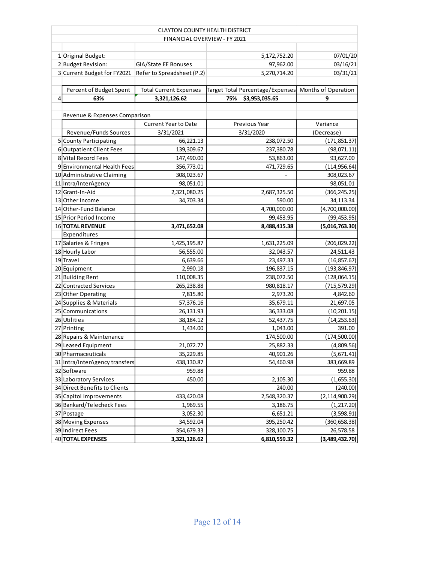|                | <b>CLAYTON COUNTY HEALTH DISTRICT</b>                  |                               |                                                      |                  |  |  |  |  |  |  |
|----------------|--------------------------------------------------------|-------------------------------|------------------------------------------------------|------------------|--|--|--|--|--|--|
|                |                                                        | FINANCIAL OVERVIEW - FY 2021  |                                                      |                  |  |  |  |  |  |  |
|                |                                                        |                               |                                                      |                  |  |  |  |  |  |  |
|                | 1 Original Budget:                                     |                               | 5,172,752.20                                         | 07/01/20         |  |  |  |  |  |  |
|                | 2 Budget Revision:                                     | GIA/State EE Bonuses          | 97,962.00                                            | 03/16/21         |  |  |  |  |  |  |
|                | 3 Current Budget for FY2021 Refer to Spreadsheet (P.2) |                               | 5,270,714.20                                         | 03/31/21         |  |  |  |  |  |  |
|                |                                                        |                               |                                                      |                  |  |  |  |  |  |  |
|                | Percent of Budget Spent                                | <b>Total Current Expenses</b> | Target Total Percentage/Expenses Months of Operation |                  |  |  |  |  |  |  |
| $\overline{4}$ | 63%                                                    | 3,321,126.62                  | \$3,953,035.65<br>75%                                | 9                |  |  |  |  |  |  |
|                |                                                        |                               |                                                      |                  |  |  |  |  |  |  |
|                | Revenue & Expenses Comparison                          |                               |                                                      |                  |  |  |  |  |  |  |
|                |                                                        | <b>Current Year to Date</b>   | Previous Year                                        | Variance         |  |  |  |  |  |  |
|                | Revenue/Funds Sources                                  | 3/31/2021                     | 3/31/2020                                            | (Decrease)       |  |  |  |  |  |  |
|                | 5 County Participating                                 | 66,221.13                     | 238,072.50                                           | (171, 851.37)    |  |  |  |  |  |  |
|                | 6 Outpatient Client Fees                               | 139,309.67                    | 237,380.78                                           | (98,071.11)      |  |  |  |  |  |  |
|                | 8 Vital Record Fees                                    | 147,490.00                    | 53,863.00                                            | 93,627.00        |  |  |  |  |  |  |
|                | 9 Environmental Health Fees                            | 356,773.01                    | 471,729.65                                           | (114, 956.64)    |  |  |  |  |  |  |
|                | 10 Administrative Claiming                             | 308,023.67                    |                                                      | 308,023.67       |  |  |  |  |  |  |
|                | 11 Intra/InterAgency                                   | 98,051.01                     |                                                      | 98,051.01        |  |  |  |  |  |  |
|                | 12 Grant-In-Aid                                        | 2,321,080.25                  | 2,687,325.50                                         | (366, 245.25)    |  |  |  |  |  |  |
|                | 13 Other Income                                        | 34,703.34                     | 590.00                                               | 34,113.34        |  |  |  |  |  |  |
|                | 14 Other-Fund Balance                                  |                               | 4,700,000.00                                         | (4,700,000.00)   |  |  |  |  |  |  |
|                | 15 Prior Period Income                                 |                               | 99,453.95                                            | (99, 453.95)     |  |  |  |  |  |  |
|                | 16 TOTAL REVENUE                                       | 3,471,652.08                  | 8,488,415.38                                         | (5,016,763.30)   |  |  |  |  |  |  |
|                | Expenditures                                           |                               |                                                      |                  |  |  |  |  |  |  |
|                | 17 Salaries & Fringes                                  | 1,425,195.87                  | 1,631,225.09                                         | (206, 029.22)    |  |  |  |  |  |  |
|                | 18 Hourly Labor                                        | 56,555.00                     | 32,043.57                                            | 24,511.43        |  |  |  |  |  |  |
|                | 19 Travel                                              | 6,639.66                      | 23,497.33                                            | (16, 857.67)     |  |  |  |  |  |  |
|                | 20 Equipment                                           | 2,990.18                      | 196,837.15                                           | (193, 846.97)    |  |  |  |  |  |  |
|                | 21 Building Rent                                       | 110,008.35                    | 238,072.50                                           | (128,064.15)     |  |  |  |  |  |  |
|                | 22 Contracted Services                                 | 265,238.88                    | 980,818.17                                           | (715, 579.29)    |  |  |  |  |  |  |
|                | 23 Other Operating                                     | 7,815.80                      | 2,973.20                                             | 4,842.60         |  |  |  |  |  |  |
|                | 24 Supplies & Materials                                | 57,376.16                     | 35,679.11                                            | 21,697.05        |  |  |  |  |  |  |
|                | 25 Communications                                      | 26,131.93                     | 36,333.08                                            | (10, 201.15)     |  |  |  |  |  |  |
|                | 26 Utilities                                           | 38,184.12                     | 52,437.75                                            | (14, 253.63)     |  |  |  |  |  |  |
|                | 27 Printing                                            | 1,434.00                      | 1,043.00                                             | 391.00           |  |  |  |  |  |  |
|                | 28 Repairs & Maintenance                               |                               | 174,500.00                                           | (174, 500.00)    |  |  |  |  |  |  |
|                | 29 Leased Equipment                                    | 21,072.77                     | 25,882.33                                            | (4,809.56)       |  |  |  |  |  |  |
|                | 30 Pharmaceuticals                                     | 35,229.85                     | 40,901.26                                            | (5,671.41)       |  |  |  |  |  |  |
|                | 31 Intra/InterAgency transfers                         | 438,130.87                    | 54,460.98<br>383,669.89                              |                  |  |  |  |  |  |  |
|                | 32 Software                                            | 959.88                        |                                                      | 959.88           |  |  |  |  |  |  |
|                | 33 Laboratory Services                                 | 450.00                        | 2,105.30                                             | (1,655.30)       |  |  |  |  |  |  |
|                | 34 Direct Benefits to Clients                          |                               | 240.00                                               | (240.00)         |  |  |  |  |  |  |
|                | 35 Capitol Improvements<br>433,420.08                  |                               | 2,548,320.37                                         | (2, 114, 900.29) |  |  |  |  |  |  |
|                | 36 Bankard/Telecheck Fees                              | 1,969.55                      | 3,186.75                                             | (1, 217.20)      |  |  |  |  |  |  |
|                | 37 Postage                                             | 3,052.30                      | 6,651.21                                             | (3,598.91)       |  |  |  |  |  |  |
|                | 38 Moving Expenses                                     | 34,592.04                     | 395,250.42                                           | (360, 658.38)    |  |  |  |  |  |  |
|                | 39 Indirect Fees                                       | 354,679.33                    | 328,100.75                                           | 26,578.58        |  |  |  |  |  |  |
|                | 40 TOTAL EXPENSES                                      | 3,321,126.62                  | 6,810,559.32                                         | (3,489,432.70)   |  |  |  |  |  |  |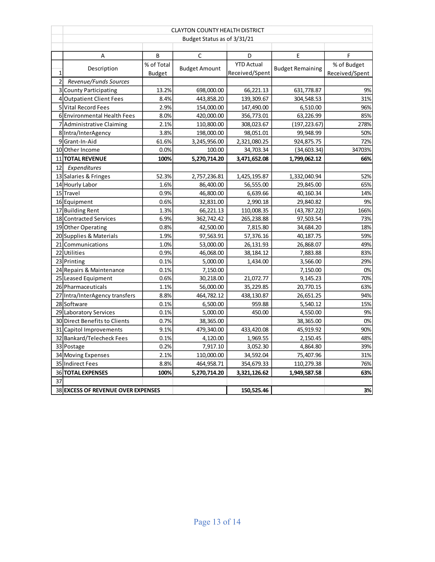|                | <b>CLAYTON COUNTY HEALTH DISTRICT</b> |               |                      |                   |                         |                |  |  |
|----------------|---------------------------------------|---------------|----------------------|-------------------|-------------------------|----------------|--|--|
|                | Budget Status as of 3/31/21           |               |                      |                   |                         |                |  |  |
|                |                                       |               |                      |                   |                         |                |  |  |
|                | Α                                     | В             | С                    | D                 | Е                       | F              |  |  |
|                | Description                           | % of Total    | <b>Budget Amount</b> | <b>YTD Actual</b> | <b>Budget Remaining</b> | % of Budget    |  |  |
| $\mathbf{1}$   |                                       | <b>Budget</b> |                      | Received/Spent    |                         | Received/Spent |  |  |
| $\overline{2}$ | Revenue/Funds Sources                 |               |                      |                   |                         |                |  |  |
|                | 3 County Participating                | 13.2%         | 698,000.00           | 66,221.13         | 631,778.87              | 9%             |  |  |
|                | 4 Outpatient Client Fees              | 8.4%          | 443,858.20           | 139,309.67        | 304,548.53              | 31%            |  |  |
|                | 5 Vital Record Fees                   | 2.9%          | 154,000.00           | 147,490.00        | 6,510.00                | 96%            |  |  |
|                | 6 Environmental Health Fees           | 8.0%          | 420,000.00           | 356,773.01        | 63,226.99               | 85%            |  |  |
|                | 7 Administrative Claiming             | 2.1%          | 110,800.00           | 308,023.67        | (197, 223.67)           | 278%           |  |  |
|                | 8 Intra/InterAgency                   | 3.8%          | 198,000.00           | 98,051.01         | 99,948.99               | 50%            |  |  |
|                | 9 Grant-In-Aid                        | 61.6%         | 3,245,956.00         | 2,321,080.25      | 924,875.75              | 72%            |  |  |
|                | 10 Other Income                       | 0.0%          | 100.00               | 34,703.34         | (34, 603.34)            | 34703%         |  |  |
|                | 11 TOTAL REVENUE                      | 100%          | 5,270,714.20         | 3,471,652.08      | 1,799,062.12            | 66%            |  |  |
| 12             | Expenditures                          |               |                      |                   |                         |                |  |  |
|                | 13 Salaries & Fringes                 | 52.3%         | 2,757,236.81         | 1,425,195.87      | 1,332,040.94            | 52%            |  |  |
|                | 14 Hourly Labor                       | 1.6%          | 86,400.00            | 56,555.00         | 29,845.00               | 65%            |  |  |
|                | 15 Travel                             | 0.9%          | 46,800.00            | 6,639.66          | 40,160.34               | 14%            |  |  |
|                | 16 Equipment                          | 0.6%          | 32,831.00            | 2,990.18          | 29,840.82               | 9%             |  |  |
|                | 17 Building Rent                      | 1.3%          | 66,221.13            | 110,008.35        | (43, 787.22)            | 166%           |  |  |
|                | 18 Contracted Services                | 6.9%          | 362,742.42           | 265,238.88        | 97,503.54               | 73%            |  |  |
|                | 19 Other Operating                    | 0.8%          | 42,500.00            | 7,815.80          | 34,684.20               | 18%            |  |  |
|                | 20 Supplies & Materials               | 1.9%          | 97,563.91            | 57,376.16         | 40,187.75               | 59%            |  |  |
|                | 21 Communications                     | 1.0%          | 53,000.00            | 26,131.93         | 26,868.07               | 49%            |  |  |
|                | 22 Utilities                          | 0.9%          | 46,068.00            | 38,184.12         | 7,883.88                | 83%            |  |  |
|                | 23 Printing                           | 0.1%          | 5,000.00             | 1,434.00          | 3,566.00                | 29%            |  |  |
|                | 24 Repairs & Maintenance              | 0.1%          | 7,150.00             |                   | 7,150.00                | 0%             |  |  |
|                | 25 Leased Equipment                   | 0.6%          | 30,218.00            | 21,072.77         | 9,145.23                | 70%            |  |  |
|                | 26 Pharmaceuticals                    | 1.1%          | 56,000.00            | 35,229.85         | 20,770.15               | 63%            |  |  |
|                | 27 Intra/InterAgency transfers        | 8.8%          | 464,782.12           | 438,130.87        | 26,651.25               | 94%            |  |  |
|                | 28 Software                           | 0.1%          | 6,500.00             | 959.88            | 5,540.12                | 15%            |  |  |
|                | 29 Laboratory Services                | 0.1%          | 5,000.00             | 450.00            | 4,550.00                | 9%             |  |  |
|                | 30 Direct Benefits to Clients         | 0.7%          | 38,365.00            |                   | 38,365.00               | 0%             |  |  |
|                | 31 Capitol Improvements               | 9.1%          | 479,340.00           | 433,420.08        | 45,919.92               | 90%            |  |  |
|                | 32 Bankard/Telecheck Fees             | 0.1%          | 4,120.00             | 1,969.55          | 2,150.45                | 48%            |  |  |
|                | 33 Postage                            | 0.2%          | 7,917.10             | 3,052.30          | 4,864.80                | 39%            |  |  |
|                | 34 Moving Expenses                    | 2.1%          | 110,000.00           | 34,592.04         | 75,407.96               | 31%            |  |  |
|                | 35 Indirect Fees                      | 8.8%          | 464,958.71           | 354,679.33        | 110,279.38              | 76%            |  |  |
|                | <b>36 TOTAL EXPENSES</b>              | 100%          | 5,270,714.20         | 3,321,126.62      | 1,949,587.58            | 63%            |  |  |
| 37             |                                       |               |                      |                   |                         |                |  |  |
|                | 38 EXCESS OF REVENUE OVER EXPENSES    |               |                      | 150,525.46        |                         | 3%             |  |  |